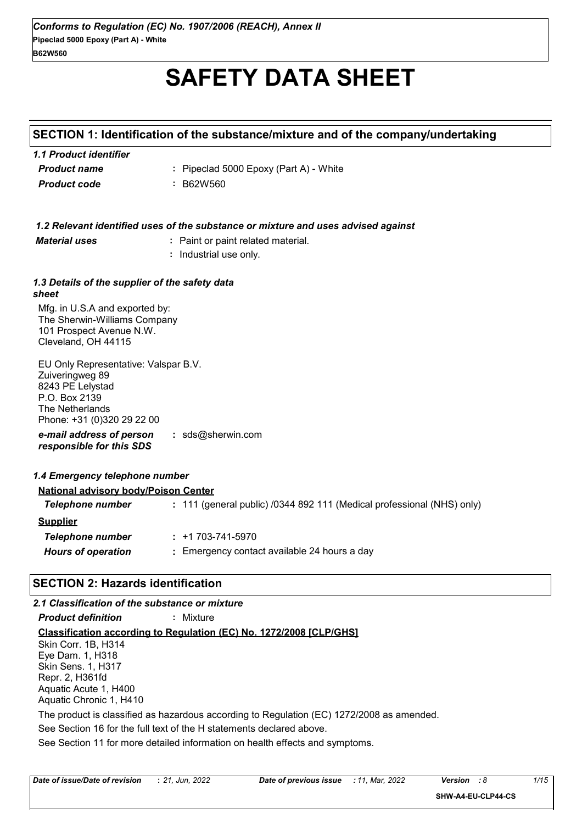# **SAFETY DATA SHEET**

#### **SECTION 1: Identification of the substance/mixture and of the company/undertaking**

| 1.1 Product identifier |                                        |
|------------------------|----------------------------------------|
| <b>Product name</b>    | : Pipeclad 5000 Epoxy (Part A) - White |
| <b>Product code</b>    | : B62W560                              |

|                                                                                                                                               | 1.2 Relevant identified uses of the substance or mixture and uses advised against |  |
|-----------------------------------------------------------------------------------------------------------------------------------------------|-----------------------------------------------------------------------------------|--|
| <b>Material uses</b><br>: Paint or paint related material.                                                                                    |                                                                                   |  |
|                                                                                                                                               | Industrial use only.                                                              |  |
|                                                                                                                                               |                                                                                   |  |
| 1.3 Details of the supplier of the safety data<br>sheet                                                                                       |                                                                                   |  |
| Mfg. in U.S.A and exported by:<br>The Sherwin-Williams Company<br>101 Prospect Avenue N.W.<br>Cleveland, OH 44115                             |                                                                                   |  |
| EU Only Representative: Valspar B.V.<br>Zuiveringweg 89<br>8243 PE Lelystad<br>P.O. Box 2139<br>The Netherlands<br>Phone: +31 (0)320 29 22 00 |                                                                                   |  |
| e-mail address of person<br>responsible for this SDS                                                                                          | : $sds@sherwin.com$                                                               |  |
| 1.4 Emergency telephone number                                                                                                                |                                                                                   |  |
| <b>National advisory body/Poison Center</b>                                                                                                   |                                                                                   |  |
| <b>Telephone number</b>                                                                                                                       | : 111 (general public) /0344 892 111 (Medical professional (NHS) only)            |  |
| <b>Supplier</b>                                                                                                                               |                                                                                   |  |
| <b>Telephone number</b>                                                                                                                       | $: +1703 - 741 - 5970$                                                            |  |
| <b>Hours of operation</b>                                                                                                                     | : Emergency contact available 24 hours a day                                      |  |
| <b>SECTION 2: Hazards identification</b>                                                                                                      |                                                                                   |  |

See Section 11 for more detailed information on health effects and symptoms. **Classification according to Regulation (EC) No. 1272/2008 [CLP/GHS]** *2.1 Classification of the substance or mixture Product definition* **:** Mixture See Section 16 for the full text of the H statements declared above. Skin Corr. 1B, H314 Eye Dam. 1, H318 Skin Sens. 1, H317 Repr. 2, H361fd Aquatic Acute 1, H400 Aquatic Chronic 1, H410 The product is classified as hazardous according to Regulation (EC) 1272/2008 as amended.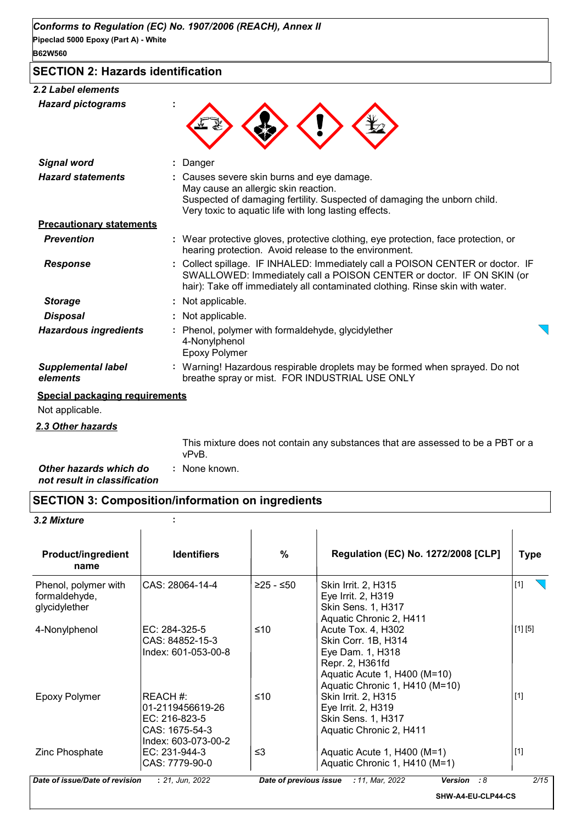### **SECTION 2: Hazards identification**

#### *2.2 Label elements*

| <b>Hazard pictograms</b>              |                                                                                                                                                                                                                                        |
|---------------------------------------|----------------------------------------------------------------------------------------------------------------------------------------------------------------------------------------------------------------------------------------|
| <b>Signal word</b>                    | Danger                                                                                                                                                                                                                                 |
| <b>Hazard statements</b>              | Causes severe skin burns and eye damage.<br>May cause an allergic skin reaction.<br>Suspected of damaging fertility. Suspected of damaging the unborn child.<br>Very toxic to aquatic life with long lasting effects.                  |
| <b>Precautionary statements</b>       |                                                                                                                                                                                                                                        |
| <b>Prevention</b>                     | : Wear protective gloves, protective clothing, eye protection, face protection, or<br>hearing protection. Avoid release to the environment.                                                                                            |
| <b>Response</b>                       | Collect spillage. IF INHALED: Immediately call a POISON CENTER or doctor. IF<br>SWALLOWED: Immediately call a POISON CENTER or doctor. IF ON SKIN (or<br>hair): Take off immediately all contaminated clothing. Rinse skin with water. |
| <b>Storage</b>                        | : Not applicable.                                                                                                                                                                                                                      |
| <b>Disposal</b>                       | Not applicable.                                                                                                                                                                                                                        |
| <b>Hazardous ingredients</b>          | Phenol, polymer with formaldehyde, glycidylether<br>4-Nonylphenol<br><b>Epoxy Polymer</b>                                                                                                                                              |
| <b>Supplemental label</b><br>elements | : Warning! Hazardous respirable droplets may be formed when sprayed. Do not<br>breathe spray or mist. FOR INDUSTRIAL USE ONLY                                                                                                          |
| <b>Special packaging requirements</b> |                                                                                                                                                                                                                                        |
| Not applicable.                       |                                                                                                                                                                                                                                        |
| 2.3 Other hazards                     |                                                                                                                                                                                                                                        |
|                                       | This mixture does not contain any substances that are assessed to be a PBT or a<br>vPvB.                                                                                                                                               |

| Other hazards which do       | : None known. |  |
|------------------------------|---------------|--|
| not result in classification |               |  |

## **SECTION 3: Composition/information on ingredients**

*3.2 Mixture* **:**

| <b>Product/ingredient</b><br>name                      | <b>Identifiers</b>                                                                       | %           | <b>Regulation (EC) No. 1272/2008 [CLP]</b>                                                                                                         | <b>Type</b> |
|--------------------------------------------------------|------------------------------------------------------------------------------------------|-------------|----------------------------------------------------------------------------------------------------------------------------------------------------|-------------|
| Phenol, polymer with<br>formaldehyde,<br>glycidylether | CAS: 28064-14-4                                                                          | $≥25 - ≤50$ | Skin Irrit. 2, H315<br>Eye Irrit. 2, H319<br>Skin Sens. 1, H317<br>Aquatic Chronic 2, H411                                                         | $[1]$       |
| 4-Nonylphenol                                          | EC: 284-325-5<br>CAS: 84852-15-3<br>Index: 601-053-00-8                                  | ≤10         | Acute Tox. 4, H302<br>Skin Corr. 1B, H314<br>Eye Dam. 1, H318<br>Repr. 2, H361fd<br>Aquatic Acute 1, H400 (M=10)<br>Aquatic Chronic 1, H410 (M=10) | [1] [5]     |
| Epoxy Polymer                                          | REACH #:<br>01-2119456619-26<br>$EC: 216-823-5$<br>CAS: 1675-54-3<br>Index: 603-073-00-2 | ≤10         | Skin Irrit. 2, H315<br>Eye Irrit. 2, H319<br>Skin Sens. 1, H317<br>Aquatic Chronic 2, H411                                                         | $[1]$       |
| Zinc Phosphate                                         | EC: 231-944-3<br>CAS: 7779-90-0                                                          | $\leq$ 3    | Aquatic Acute 1, H400 (M=1)<br>Aquatic Chronic 1, H410 (M=1)                                                                                       | $[1]$       |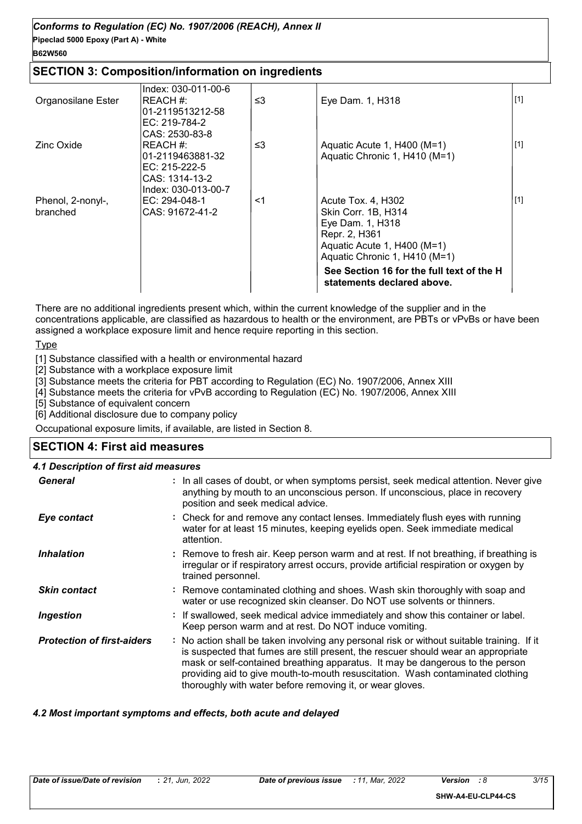#### **Pipeclad 5000 Epoxy (Part A) - White** *Conforms to Regulation (EC) No. 1907/2006 (REACH), Annex II*

#### **B62W560**

#### **SECTION 3: Composition/information on ingredients**

|                    | Index: 030-011-00-6               |    |                                                                         |       |
|--------------------|-----------------------------------|----|-------------------------------------------------------------------------|-------|
| Organosilane Ester | REACH #:                          | ≤3 | Eye Dam. 1, H318                                                        | $[1]$ |
|                    | 01-2119513212-58<br>EC: 219-784-2 |    |                                                                         |       |
|                    | CAS: 2530-83-8                    |    |                                                                         |       |
| Zinc Oxide         | REACH #:                          | ≤3 | Aquatic Acute 1, H400 (M=1)                                             | $[1]$ |
|                    | 01-2119463881-32                  |    | Aquatic Chronic 1, H410 (M=1)                                           |       |
|                    | EC: $215-222-5$<br>CAS: 1314-13-2 |    |                                                                         |       |
|                    | Index: 030-013-00-7               |    |                                                                         |       |
| Phenol, 2-nonyl-,  | EC: $294-048-1$                   | <1 | Acute Tox. 4, H302                                                      | $[1]$ |
| branched           | CAS: 91672-41-2                   |    | Skin Corr. 1B, H314                                                     |       |
|                    |                                   |    | Eye Dam. 1, H318<br>Repr. 2, H361                                       |       |
|                    |                                   |    | Aquatic Acute 1, H400 (M=1)                                             |       |
|                    |                                   |    | Aquatic Chronic 1, H410 (M=1)                                           |       |
|                    |                                   |    | See Section 16 for the full text of the H<br>statements declared above. |       |
|                    |                                   |    |                                                                         |       |

There are no additional ingredients present which, within the current knowledge of the supplier and in the concentrations applicable, are classified as hazardous to health or the environment, are PBTs or vPvBs or have been assigned a workplace exposure limit and hence require reporting in this section.

Type

[1] Substance classified with a health or environmental hazard

[2] Substance with a workplace exposure limit

[3] Substance meets the criteria for PBT according to Regulation (EC) No. 1907/2006, Annex XIII

[4] Substance meets the criteria for vPvB according to Regulation (EC) No. 1907/2006, Annex XIII

[5] Substance of equivalent concern

[6] Additional disclosure due to company policy

Occupational exposure limits, if available, are listed in Section 8.

#### **SECTION 4: First aid measures**

#### *4.1 Description of first aid measures*

| <b>General</b>                    | : In all cases of doubt, or when symptoms persist, seek medical attention. Never give<br>anything by mouth to an unconscious person. If unconscious, place in recovery<br>position and seek medical advice.                                                                                                                                                                                                     |
|-----------------------------------|-----------------------------------------------------------------------------------------------------------------------------------------------------------------------------------------------------------------------------------------------------------------------------------------------------------------------------------------------------------------------------------------------------------------|
| Eye contact                       | : Check for and remove any contact lenses. Immediately flush eyes with running<br>water for at least 15 minutes, keeping eyelids open. Seek immediate medical<br>attention.                                                                                                                                                                                                                                     |
| <b>Inhalation</b>                 | : Remove to fresh air. Keep person warm and at rest. If not breathing, if breathing is<br>irregular or if respiratory arrest occurs, provide artificial respiration or oxygen by<br>trained personnel.                                                                                                                                                                                                          |
| <b>Skin contact</b>               | : Remove contaminated clothing and shoes. Wash skin thoroughly with soap and<br>water or use recognized skin cleanser. Do NOT use solvents or thinners.                                                                                                                                                                                                                                                         |
| <b>Ingestion</b>                  | : If swallowed, seek medical advice immediately and show this container or label.<br>Keep person warm and at rest. Do NOT induce vomiting.                                                                                                                                                                                                                                                                      |
| <b>Protection of first-aiders</b> | : No action shall be taken involving any personal risk or without suitable training. If it<br>is suspected that fumes are still present, the rescuer should wear an appropriate<br>mask or self-contained breathing apparatus. It may be dangerous to the person<br>providing aid to give mouth-to-mouth resuscitation. Wash contaminated clothing<br>thoroughly with water before removing it, or wear gloves. |

#### *4.2 Most important symptoms and effects, both acute and delayed*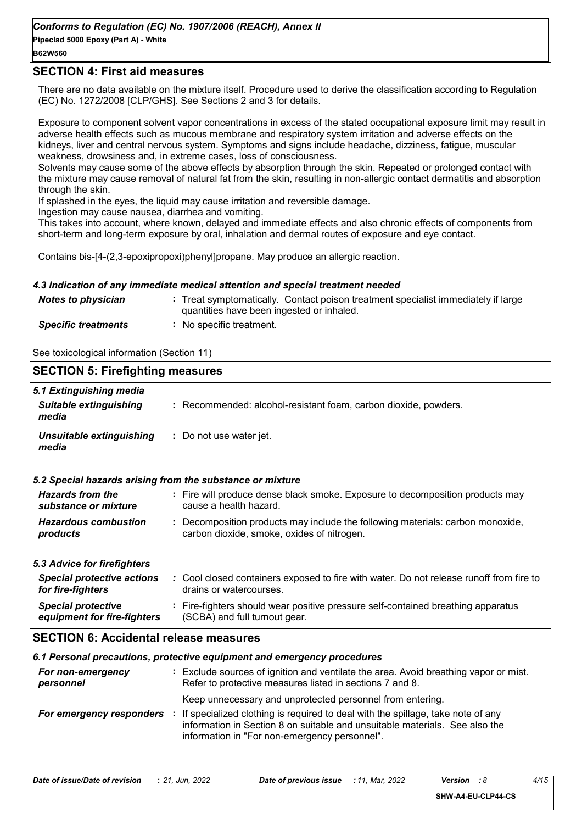#### **B62W560**

#### **SECTION 4: First aid measures**

There are no data available on the mixture itself. Procedure used to derive the classification according to Regulation (EC) No. 1272/2008 [CLP/GHS]. See Sections 2 and 3 for details.

Exposure to component solvent vapor concentrations in excess of the stated occupational exposure limit may result in adverse health effects such as mucous membrane and respiratory system irritation and adverse effects on the kidneys, liver and central nervous system. Symptoms and signs include headache, dizziness, fatigue, muscular weakness, drowsiness and, in extreme cases, loss of consciousness.

Solvents may cause some of the above effects by absorption through the skin. Repeated or prolonged contact with the mixture may cause removal of natural fat from the skin, resulting in non-allergic contact dermatitis and absorption through the skin.

If splashed in the eyes, the liquid may cause irritation and reversible damage.

Ingestion may cause nausea, diarrhea and vomiting.

This takes into account, where known, delayed and immediate effects and also chronic effects of components from short-term and long-term exposure by oral, inhalation and dermal routes of exposure and eye contact.

Contains bis-[4-(2,3-epoxipropoxi)phenyl]propane. May produce an allergic reaction.

#### *4.3 Indication of any immediate medical attention and special treatment needed*

| <b>Notes to physician</b>  | : Treat symptomatically. Contact poison treatment specialist immediately if large<br>quantities have been ingested or inhaled. |
|----------------------------|--------------------------------------------------------------------------------------------------------------------------------|
| <b>Specific treatments</b> | No specific treatment.                                                                                                         |

See toxicological information (Section 11)

| <b>SECTION 5: Firefighting measures</b>                  |                                                                                                                                                  |  |
|----------------------------------------------------------|--------------------------------------------------------------------------------------------------------------------------------------------------|--|
| 5.1 Extinguishing media                                  |                                                                                                                                                  |  |
| <b>Suitable extinguishing</b><br>media                   | : Recommended: alcohol-resistant foam, carbon dioxide, powders.                                                                                  |  |
| <b>Unsuitable extinguishing</b><br>media                 | : Do not use water jet.                                                                                                                          |  |
|                                                          | 5.2 Special hazards arising from the substance or mixture                                                                                        |  |
| <b>Hazards from the</b><br>substance or mixture          | : Fire will produce dense black smoke. Exposure to decomposition products may<br>cause a health hazard.                                          |  |
| <b>Hazardous combustion</b><br>products                  | : Decomposition products may include the following materials: carbon monoxide,<br>carbon dioxide, smoke, oxides of nitrogen.                     |  |
| 5.3 Advice for firefighters                              |                                                                                                                                                  |  |
| <b>Special protective actions</b><br>for fire-fighters   | : Cool closed containers exposed to fire with water. Do not release runoff from fire to<br>drains or watercourses.                               |  |
| <b>Special protective</b><br>equipment for fire-fighters | : Fire-fighters should wear positive pressure self-contained breathing apparatus<br>(SCBA) and full turnout gear.                                |  |
| <b>SECTION 6: Accidental release measures</b>            |                                                                                                                                                  |  |
|                                                          | 6.1 Personal precautions, protective equipment and emergency procedures                                                                          |  |
| For non-emergency<br>personnel                           | : Exclude sources of ignition and ventilate the area. Avoid breathing vapor or mist.<br>Refer to protective measures listed in sections 7 and 8. |  |
|                                                          | Keep unnecessary and unprotected personnel from entering.                                                                                        |  |
|                                                          | ورودها والمناقص وبالمفارض والمتاري والفارط والمتارين والمستردد والمستحدث والمتاري المستال والمتحدث والمتناور                                     |  |

*For emergency responders* : If specialized clothing is required to deal with the spillage, take note of any information in Section 8 on suitable and unsuitable materials. See also the information in "For non-emergency personnel".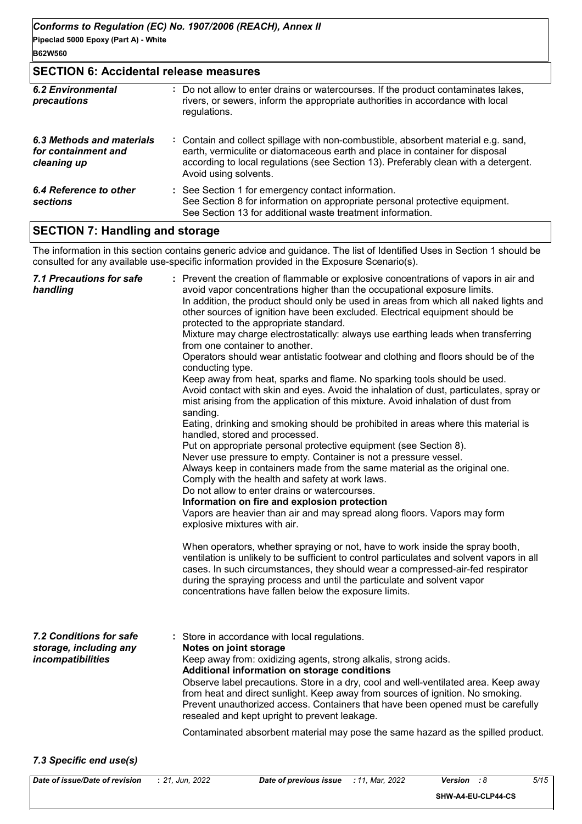#### **SECTION 6: Accidental release measures**

| <b>6.2 Environmental</b><br>precautions                         | : Do not allow to enter drains or watercourses. If the product contaminates lakes,<br>rivers, or sewers, inform the appropriate authorities in accordance with local<br>regulations.                                                                                               |
|-----------------------------------------------------------------|------------------------------------------------------------------------------------------------------------------------------------------------------------------------------------------------------------------------------------------------------------------------------------|
| 6.3 Methods and materials<br>for containment and<br>cleaning up | : Contain and collect spillage with non-combustible, absorbent material e.g. sand,<br>earth, vermiculite or diatomaceous earth and place in container for disposal<br>according to local regulations (see Section 13). Preferably clean with a detergent.<br>Avoid using solvents. |
| 6.4 Reference to other<br>sections                              | : See Section 1 for emergency contact information.<br>See Section 8 for information on appropriate personal protective equipment.<br>See Section 13 for additional waste treatment information.                                                                                    |

#### **SECTION 7: Handling and storage**

The information in this section contains generic advice and guidance. The list of Identified Uses in Section 1 should be consulted for any available use-specific information provided in the Exposure Scenario(s).

| : Prevent the creation of flammable or explosive concentrations of vapors in air and<br>avoid vapor concentrations higher than the occupational exposure limits.<br>In addition, the product should only be used in areas from which all naked lights and<br>other sources of ignition have been excluded. Electrical equipment should be<br>protected to the appropriate standard.<br>Mixture may charge electrostatically: always use earthing leads when transferring<br>from one container to another.<br>Operators should wear antistatic footwear and clothing and floors should be of the<br>conducting type.<br>Keep away from heat, sparks and flame. No sparking tools should be used.<br>Avoid contact with skin and eyes. Avoid the inhalation of dust, particulates, spray or<br>mist arising from the application of this mixture. Avoid inhalation of dust from<br>sanding.<br>Eating, drinking and smoking should be prohibited in areas where this material is<br>handled, stored and processed.<br>Put on appropriate personal protective equipment (see Section 8).<br>Never use pressure to empty. Container is not a pressure vessel.<br>Always keep in containers made from the same material as the original one.<br>Comply with the health and safety at work laws.<br>Do not allow to enter drains or watercourses.<br>Information on fire and explosion protection<br>Vapors are heavier than air and may spread along floors. Vapors may form<br>explosive mixtures with air.<br>When operators, whether spraying or not, have to work inside the spray booth,<br>ventilation is unlikely to be sufficient to control particulates and solvent vapors in all<br>cases. In such circumstances, they should wear a compressed-air-fed respirator<br>during the spraying process and until the particulate and solvent vapor<br>concentrations have fallen below the exposure limits. |
|---------------------------------------------------------------------------------------------------------------------------------------------------------------------------------------------------------------------------------------------------------------------------------------------------------------------------------------------------------------------------------------------------------------------------------------------------------------------------------------------------------------------------------------------------------------------------------------------------------------------------------------------------------------------------------------------------------------------------------------------------------------------------------------------------------------------------------------------------------------------------------------------------------------------------------------------------------------------------------------------------------------------------------------------------------------------------------------------------------------------------------------------------------------------------------------------------------------------------------------------------------------------------------------------------------------------------------------------------------------------------------------------------------------------------------------------------------------------------------------------------------------------------------------------------------------------------------------------------------------------------------------------------------------------------------------------------------------------------------------------------------------------------------------------------------------------------------------------------------------------------------------------------------------|
| : Store in accordance with local regulations.<br>Notes on joint storage<br>Keep away from: oxidizing agents, strong alkalis, strong acids.<br>Additional information on storage conditions<br>Observe label precautions. Store in a dry, cool and well-ventilated area. Keep away<br>from heat and direct sunlight. Keep away from sources of ignition. No smoking.<br>Prevent unauthorized access. Containers that have been opened must be carefully<br>resealed and kept upright to prevent leakage.<br>Contaminated absorbent material may pose the same hazard as the spilled product.                                                                                                                                                                                                                                                                                                                                                                                                                                                                                                                                                                                                                                                                                                                                                                                                                                                                                                                                                                                                                                                                                                                                                                                                                                                                                                                   |
|                                                                                                                                                                                                                                                                                                                                                                                                                                                                                                                                                                                                                                                                                                                                                                                                                                                                                                                                                                                                                                                                                                                                                                                                                                                                                                                                                                                                                                                                                                                                                                                                                                                                                                                                                                                                                                                                                                               |

#### *7.3 Specific end use(s)*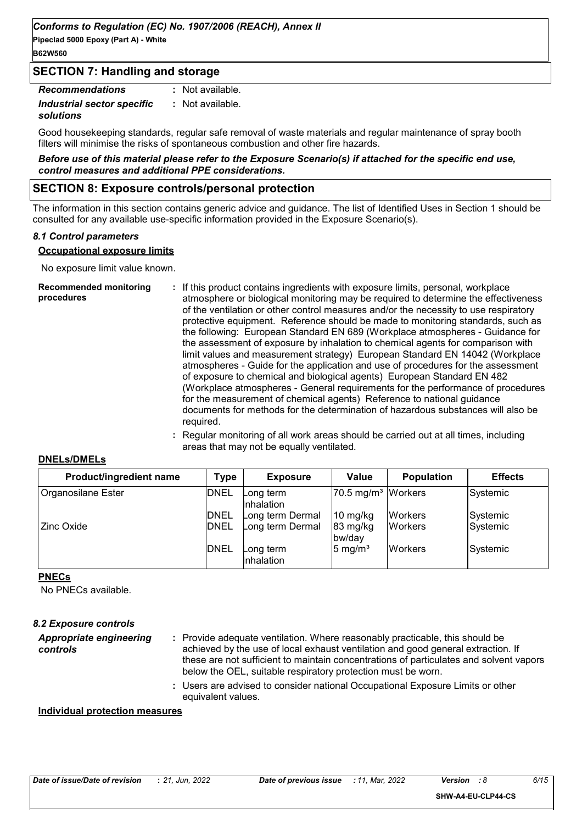**Pipeclad 5000 Epoxy (Part A) - White B62W560**

#### **SECTION 7: Handling and storage**

| <b>Recommendations</b>     | : Not available. |
|----------------------------|------------------|
| Industrial sector specific | : Not available. |
| solutions                  |                  |

Good housekeeping standards, regular safe removal of waste materials and regular maintenance of spray booth filters will minimise the risks of spontaneous combustion and other fire hazards.

*Before use of this material please refer to the Exposure Scenario(s) if attached for the specific end use, control measures and additional PPE considerations.*

#### **SECTION 8: Exposure controls/personal protection**

The information in this section contains generic advice and guidance. The list of Identified Uses in Section 1 should be consulted for any available use-specific information provided in the Exposure Scenario(s).

#### *8.1 Control parameters*

#### **Occupational exposure limits**

No exposure limit value known.

| <b>Recommended monitoring</b><br>procedures | : If this product contains ingredients with exposure limits, personal, workplace<br>atmosphere or biological monitoring may be required to determine the effectiveness<br>of the ventilation or other control measures and/or the necessity to use respiratory<br>protective equipment. Reference should be made to monitoring standards, such as<br>the following: European Standard EN 689 (Workplace atmospheres - Guidance for<br>the assessment of exposure by inhalation to chemical agents for comparison with<br>limit values and measurement strategy) European Standard EN 14042 (Workplace<br>atmospheres - Guide for the application and use of procedures for the assessment<br>of exposure to chemical and biological agents) European Standard EN 482<br>(Workplace atmospheres - General requirements for the performance of procedures<br>for the measurement of chemical agents) Reference to national guidance<br>documents for methods for the determination of hazardous substances will also be<br>required. |
|---------------------------------------------|------------------------------------------------------------------------------------------------------------------------------------------------------------------------------------------------------------------------------------------------------------------------------------------------------------------------------------------------------------------------------------------------------------------------------------------------------------------------------------------------------------------------------------------------------------------------------------------------------------------------------------------------------------------------------------------------------------------------------------------------------------------------------------------------------------------------------------------------------------------------------------------------------------------------------------------------------------------------------------------------------------------------------------|
|---------------------------------------------|------------------------------------------------------------------------------------------------------------------------------------------------------------------------------------------------------------------------------------------------------------------------------------------------------------------------------------------------------------------------------------------------------------------------------------------------------------------------------------------------------------------------------------------------------------------------------------------------------------------------------------------------------------------------------------------------------------------------------------------------------------------------------------------------------------------------------------------------------------------------------------------------------------------------------------------------------------------------------------------------------------------------------------|

**:** Regular monitoring of all work areas should be carried out at all times, including areas that may not be equally ventilated.

#### **DNELs/DMELs**

| Product/ingredient name | Type        | <b>Exposure</b>         | Value                            | <b>Population</b> | <b>Effects</b> |
|-------------------------|-------------|-------------------------|----------------------------------|-------------------|----------------|
| Organosilane Ester      | <b>DNEL</b> | Long term<br>Inhalation | $ 70.5 \text{ mg/m}^3 $ Workers  |                   | Systemic       |
|                         | <b>DNEL</b> | Long term Dermal        | $10 \frac{\text{mg}}{\text{kg}}$ | <b>Workers</b>    | Systemic       |
| Zinc Oxide              | <b>DNEL</b> | Long term Dermal        | $83 \text{ mg/kg}$<br>bw/day     | <b>IWorkers</b>   | Systemic       |
|                         | <b>DNEL</b> | Long term<br>Inhalation | $5 \text{ mg/m}^3$               | <b>Workers</b>    | Systemic       |

#### **PNECs**

No PNECs available.

| <b>8.2 Exposure controls</b>        |                                                                                                                                                                                                                                                                                                                            |
|-------------------------------------|----------------------------------------------------------------------------------------------------------------------------------------------------------------------------------------------------------------------------------------------------------------------------------------------------------------------------|
| Appropriate engineering<br>controls | : Provide adequate ventilation. Where reasonably practicable, this should be<br>achieved by the use of local exhaust ventilation and good general extraction. If<br>these are not sufficient to maintain concentrations of particulates and solvent vapors<br>below the OEL, suitable respiratory protection must be worn. |
|                                     | : Users are advised to consider national Occupational Exposure Limits or other                                                                                                                                                                                                                                             |

equivalent values.

#### **Individual protection measures**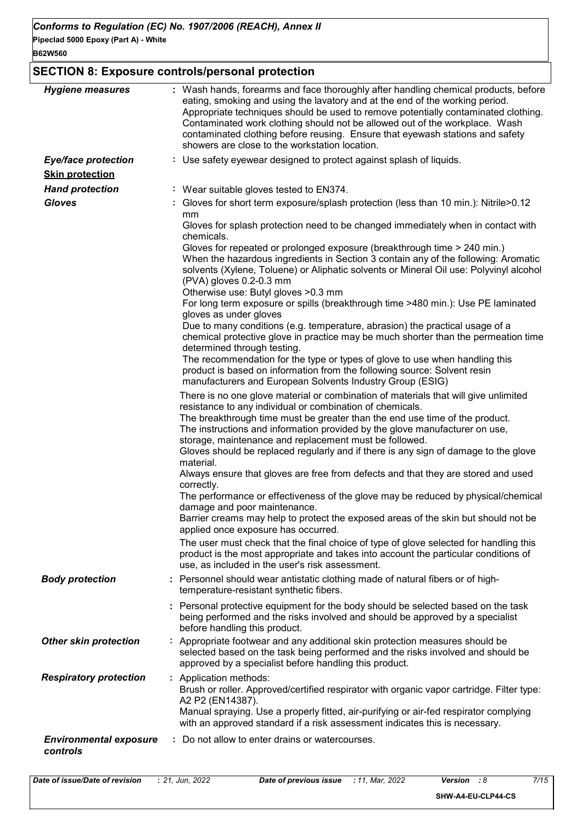#### **SECTION 8: Exposure controls/personal protection**

| <b>Hygiene measures</b>                   | : Wash hands, forearms and face thoroughly after handling chemical products, before<br>eating, smoking and using the lavatory and at the end of the working period.<br>Appropriate techniques should be used to remove potentially contaminated clothing.<br>Contaminated work clothing should not be allowed out of the workplace. Wash<br>contaminated clothing before reusing. Ensure that eyewash stations and safety<br>showers are close to the workstation location.                                                                                                                                                                                                                                                                                                                                                                                                                                                                                                                                                                                            |
|-------------------------------------------|------------------------------------------------------------------------------------------------------------------------------------------------------------------------------------------------------------------------------------------------------------------------------------------------------------------------------------------------------------------------------------------------------------------------------------------------------------------------------------------------------------------------------------------------------------------------------------------------------------------------------------------------------------------------------------------------------------------------------------------------------------------------------------------------------------------------------------------------------------------------------------------------------------------------------------------------------------------------------------------------------------------------------------------------------------------------|
| <b>Eye/face protection</b>                | : Use safety eyewear designed to protect against splash of liquids.                                                                                                                                                                                                                                                                                                                                                                                                                                                                                                                                                                                                                                                                                                                                                                                                                                                                                                                                                                                                    |
| <b>Skin protection</b>                    |                                                                                                                                                                                                                                                                                                                                                                                                                                                                                                                                                                                                                                                                                                                                                                                                                                                                                                                                                                                                                                                                        |
| <b>Hand protection</b>                    | : Wear suitable gloves tested to EN374.                                                                                                                                                                                                                                                                                                                                                                                                                                                                                                                                                                                                                                                                                                                                                                                                                                                                                                                                                                                                                                |
| <b>Gloves</b>                             | : Gloves for short term exposure/splash protection (less than 10 min.): Nitrile>0.12<br>mm<br>Gloves for splash protection need to be changed immediately when in contact with<br>chemicals.<br>Gloves for repeated or prolonged exposure (breakthrough time > 240 min.)<br>When the hazardous ingredients in Section 3 contain any of the following: Aromatic<br>solvents (Xylene, Toluene) or Aliphatic solvents or Mineral Oil use: Polyvinyl alcohol<br>(PVA) gloves 0.2-0.3 mm<br>Otherwise use: Butyl gloves > 0.3 mm<br>For long term exposure or spills (breakthrough time >480 min.): Use PE laminated<br>gloves as under gloves<br>Due to many conditions (e.g. temperature, abrasion) the practical usage of a<br>chemical protective glove in practice may be much shorter than the permeation time<br>determined through testing.<br>The recommendation for the type or types of glove to use when handling this<br>product is based on information from the following source: Solvent resin<br>manufacturers and European Solvents Industry Group (ESIG) |
|                                           | There is no one glove material or combination of materials that will give unlimited<br>resistance to any individual or combination of chemicals.<br>The breakthrough time must be greater than the end use time of the product.<br>The instructions and information provided by the glove manufacturer on use,<br>storage, maintenance and replacement must be followed.<br>Gloves should be replaced regularly and if there is any sign of damage to the glove<br>material.<br>Always ensure that gloves are free from defects and that they are stored and used<br>correctly.<br>The performance or effectiveness of the glove may be reduced by physical/chemical<br>damage and poor maintenance.<br>Barrier creams may help to protect the exposed areas of the skin but should not be<br>applied once exposure has occurred.<br>The user must check that the final choice of type of glove selected for handling this<br>product is the most appropriate and takes into account the particular conditions of<br>use, as included in the user's risk assessment.   |
| <b>Body protection</b>                    | : Personnel should wear antistatic clothing made of natural fibers or of high-<br>temperature-resistant synthetic fibers.                                                                                                                                                                                                                                                                                                                                                                                                                                                                                                                                                                                                                                                                                                                                                                                                                                                                                                                                              |
|                                           | : Personal protective equipment for the body should be selected based on the task<br>being performed and the risks involved and should be approved by a specialist<br>before handling this product.                                                                                                                                                                                                                                                                                                                                                                                                                                                                                                                                                                                                                                                                                                                                                                                                                                                                    |
| <b>Other skin protection</b>              | : Appropriate footwear and any additional skin protection measures should be<br>selected based on the task being performed and the risks involved and should be<br>approved by a specialist before handling this product.                                                                                                                                                                                                                                                                                                                                                                                                                                                                                                                                                                                                                                                                                                                                                                                                                                              |
| <b>Respiratory protection</b>             | : Application methods:<br>Brush or roller. Approved/certified respirator with organic vapor cartridge. Filter type:<br>A2 P2 (EN14387).<br>Manual spraying. Use a properly fitted, air-purifying or air-fed respirator complying<br>with an approved standard if a risk assessment indicates this is necessary.                                                                                                                                                                                                                                                                                                                                                                                                                                                                                                                                                                                                                                                                                                                                                        |
| <b>Environmental exposure</b><br>controls | : Do not allow to enter drains or watercourses.                                                                                                                                                                                                                                                                                                                                                                                                                                                                                                                                                                                                                                                                                                                                                                                                                                                                                                                                                                                                                        |

**SHW-A4-EU-CLP44-CS**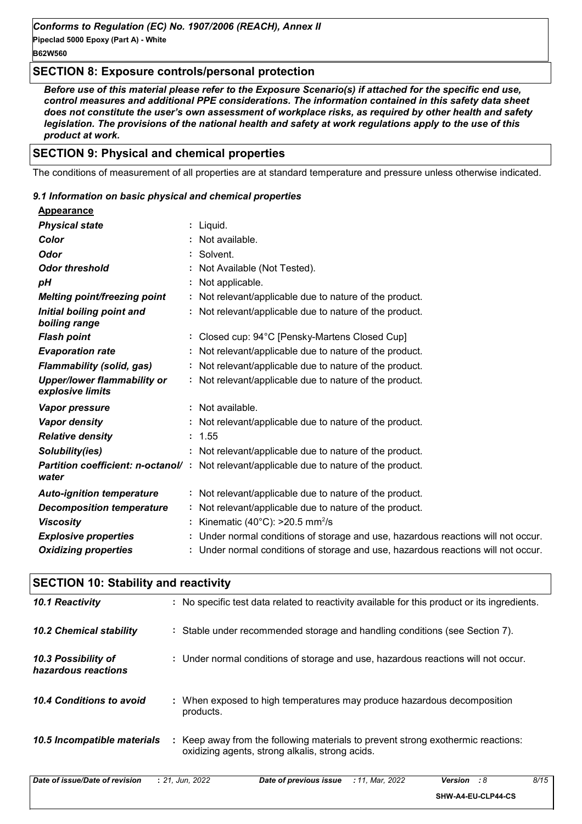#### **SECTION 8: Exposure controls/personal protection**

*Before use of this material please refer to the Exposure Scenario(s) if attached for the specific end use, control measures and additional PPE considerations. The information contained in this safety data sheet does not constitute the user's own assessment of workplace risks, as required by other health and safety legislation. The provisions of the national health and safety at work regulations apply to the use of this product at work.*

#### **SECTION 9: Physical and chemical properties**

The conditions of measurement of all properties are at standard temperature and pressure unless otherwise indicated.

#### *9.1 Information on basic physical and chemical properties*

| <b>Appearance</b>                                      |                                                                                                  |
|--------------------------------------------------------|--------------------------------------------------------------------------------------------------|
| <b>Physical state</b>                                  | : Liquid.                                                                                        |
| Color                                                  | : Not available.                                                                                 |
| Odor                                                   | : Solvent.                                                                                       |
| <b>Odor threshold</b>                                  | : Not Available (Not Tested).                                                                    |
| рH                                                     | : Not applicable.                                                                                |
| <b>Melting point/freezing point</b>                    | : Not relevant/applicable due to nature of the product.                                          |
| Initial boiling point and<br>boiling range             | : Not relevant/applicable due to nature of the product.                                          |
| <b>Flash point</b>                                     | : Closed cup: 94°C [Pensky-Martens Closed Cup]                                                   |
| <b>Evaporation rate</b>                                | : Not relevant/applicable due to nature of the product.                                          |
| <b>Flammability (solid, gas)</b>                       | : Not relevant/applicable due to nature of the product.                                          |
| <b>Upper/lower flammability or</b><br>explosive limits | : Not relevant/applicable due to nature of the product.                                          |
| <b>Vapor pressure</b>                                  | : Not available.                                                                                 |
| Vapor density                                          | : Not relevant/applicable due to nature of the product.                                          |
| <b>Relative density</b>                                | : 1.55                                                                                           |
| Solubility(ies)                                        | : Not relevant/applicable due to nature of the product.                                          |
| water                                                  | <b>Partition coefficient: n-octanol/</b> : Not relevant/applicable due to nature of the product. |
| <b>Auto-ignition temperature</b>                       | : Not relevant/applicable due to nature of the product.                                          |
| <b>Decomposition temperature</b>                       | : Not relevant/applicable due to nature of the product.                                          |
| <b>Viscosity</b>                                       | : Kinematic (40°C): >20.5 mm <sup>2</sup> /s                                                     |
| <b>Explosive properties</b>                            | : Under normal conditions of storage and use, hazardous reactions will not occur.                |
| <b>Oxidizing properties</b>                            | : Under normal conditions of storage and use, hazardous reactions will not occur.                |

| <b>SECTION 10: Stability and reactivity</b> |                                                                                                                                         |  |  |  |
|---------------------------------------------|-----------------------------------------------------------------------------------------------------------------------------------------|--|--|--|
| 10.1 Reactivity                             | : No specific test data related to reactivity available for this product or its ingredients.                                            |  |  |  |
| <b>10.2 Chemical stability</b>              | : Stable under recommended storage and handling conditions (see Section 7).                                                             |  |  |  |
| 10.3 Possibility of<br>hazardous reactions  | : Under normal conditions of storage and use, hazardous reactions will not occur.                                                       |  |  |  |
| 10.4 Conditions to avoid                    | : When exposed to high temperatures may produce hazardous decomposition<br>products.                                                    |  |  |  |
| 10.5 Incompatible materials                 | Keep away from the following materials to prevent strong exothermic reactions:<br>÷.<br>oxidizing agents, strong alkalis, strong acids. |  |  |  |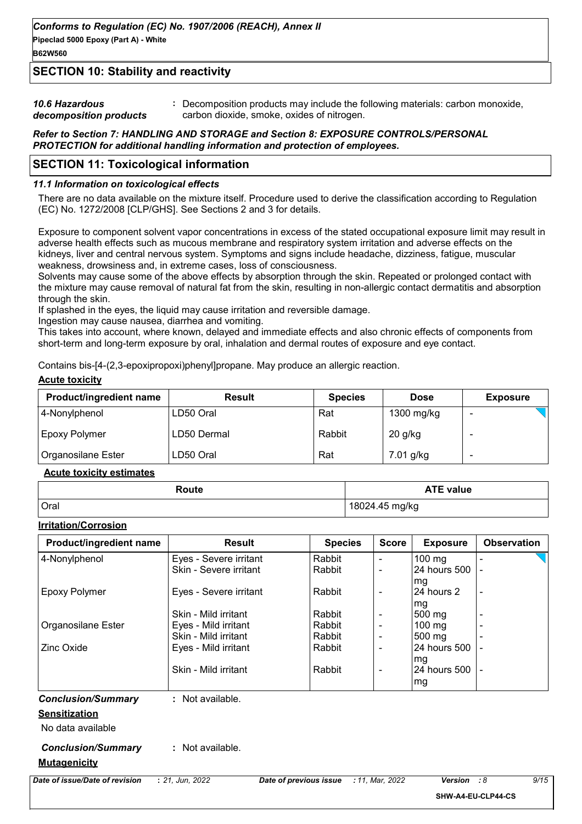#### **B62W560**

#### **SECTION 10: Stability and reactivity**

| <b>10.6 Hazardous</b>  | Decomposition products may include the following materials: carbon monoxide, |
|------------------------|------------------------------------------------------------------------------|
| decomposition products | carbon dioxide, smoke, oxides of nitrogen.                                   |

#### *Refer to Section 7: HANDLING AND STORAGE and Section 8: EXPOSURE CONTROLS/PERSONAL PROTECTION for additional handling information and protection of employees.*

#### **SECTION 11: Toxicological information**

#### *11.1 Information on toxicological effects*

There are no data available on the mixture itself. Procedure used to derive the classification according to Regulation (EC) No. 1272/2008 [CLP/GHS]. See Sections 2 and 3 for details.

Exposure to component solvent vapor concentrations in excess of the stated occupational exposure limit may result in adverse health effects such as mucous membrane and respiratory system irritation and adverse effects on the kidneys, liver and central nervous system. Symptoms and signs include headache, dizziness, fatigue, muscular weakness, drowsiness and, in extreme cases, loss of consciousness.

Solvents may cause some of the above effects by absorption through the skin. Repeated or prolonged contact with the mixture may cause removal of natural fat from the skin, resulting in non-allergic contact dermatitis and absorption through the skin.

If splashed in the eyes, the liquid may cause irritation and reversible damage.

Ingestion may cause nausea, diarrhea and vomiting.

This takes into account, where known, delayed and immediate effects and also chronic effects of components from short-term and long-term exposure by oral, inhalation and dermal routes of exposure and eye contact.

Contains bis-[4-(2,3-epoxipropoxi)phenyl]propane. May produce an allergic reaction.

#### **Acute toxicity**

| <b>Product/ingredient name</b> | <b>Result</b> | <b>Species</b> | <b>Dose</b> | <b>Exposure</b> |
|--------------------------------|---------------|----------------|-------------|-----------------|
| 4-Nonylphenol                  | LD50 Oral     | Rat            | 1300 mg/kg  |                 |
| Epoxy Polymer                  | LD50 Dermal   | Rabbit         | 20 g/kg     |                 |
| Organosilane Ester             | LD50 Oral     | Rat            | 7.01 g/kg   | -               |

#### **Acute toxicity estimates**

| Route | <b>ATE value</b> |
|-------|------------------|
| Oral  | 18024.45 mg/kg   |

#### **Irritation/Corrosion**

| Product/ingredient name        | <b>Result</b>          |                        | <b>Score</b><br><b>Species</b> | <b>Exposure</b>  | <b>Observation</b> |
|--------------------------------|------------------------|------------------------|--------------------------------|------------------|--------------------|
| 4-Nonylphenol                  | Eyes - Severe irritant | Rabbit                 |                                | $100 \text{ mg}$ |                    |
|                                | Skin - Severe irritant | Rabbit                 |                                | 24 hours 500     |                    |
|                                |                        |                        |                                | mg               |                    |
| <b>Epoxy Polymer</b>           | Eyes - Severe irritant | Rabbit                 | $\overline{\phantom{0}}$       | 24 hours 2       | $\blacksquare$     |
|                                |                        |                        |                                | mg               |                    |
|                                | Skin - Mild irritant   | Rabbit                 |                                | 500 mg           |                    |
| Organosilane Ester             | Eyes - Mild irritant   | Rabbit                 |                                | $100 \text{ mg}$ |                    |
|                                | Skin - Mild irritant   | Rabbit                 | $\blacksquare$                 | 500 mg           |                    |
| Zinc Oxide                     | Eyes - Mild irritant   | Rabbit                 | ٠                              | 24 hours 500     |                    |
|                                |                        |                        |                                | mg               |                    |
|                                | Skin - Mild irritant   | Rabbit                 | $\blacksquare$                 | 24 hours 500     |                    |
|                                |                        |                        |                                | mg               |                    |
| <b>Conclusion/Summary</b>      | : Not available.       |                        |                                |                  |                    |
| <b>Sensitization</b>           |                        |                        |                                |                  |                    |
| No data available              |                        |                        |                                |                  |                    |
| <b>Conclusion/Summary</b>      | : Not available.       |                        |                                |                  |                    |
| <b>Mutagenicity</b>            |                        |                        |                                |                  |                    |
| Date of issue/Date of revision | : 21, Jun, 2022        | Date of previous issue | : 11, Mar, 2022                | Version          | 9/15<br>:8         |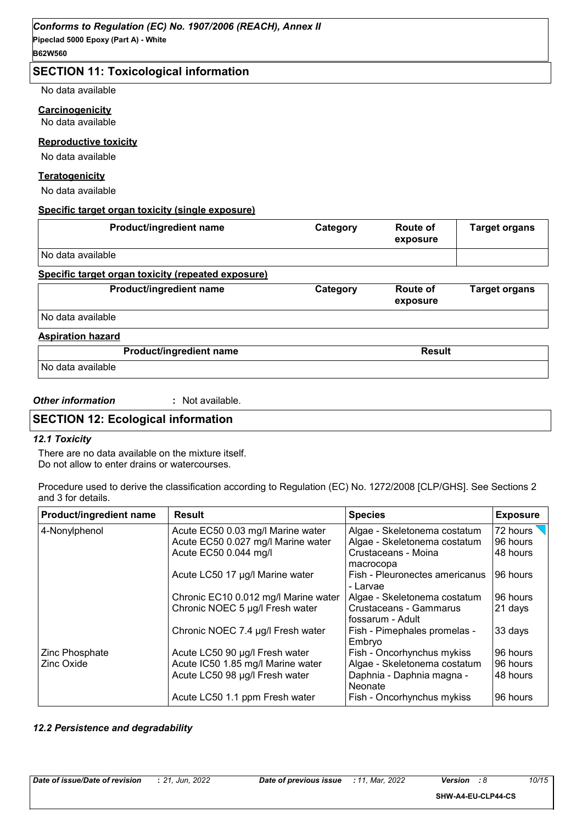#### **SECTION 11: Toxicological information**

No data available

#### **Carcinogenicity**

No data available

#### **Reproductive toxicity**

No data available

#### **Teratogenicity**

No data available

#### **Specific target organ toxicity (single exposure)**

| Product/ingredient name                            | Category | Route of<br>exposure | <b>Target organs</b> |
|----------------------------------------------------|----------|----------------------|----------------------|
| No data available                                  |          |                      |                      |
| Specific target organ toxicity (repeated exposure) |          |                      |                      |
| Product/ingredient name                            | Category | Route of<br>exposure | <b>Target organs</b> |
| No data available                                  |          |                      |                      |
| <b>Aspiration hazard</b>                           |          |                      |                      |
| Product/ingredient name                            |          | <b>Result</b>        |                      |
| No data available                                  |          |                      |                      |

#### *Other information* **:**

: Not available.

#### **SECTION 12: Ecological information**

#### *12.1 Toxicity*

There are no data available on the mixture itself. Do not allow to enter drains or watercourses.

Procedure used to derive the classification according to Regulation (EC) No. 1272/2008 [CLP/GHS]. See Sections 2 and 3 for details.

| Product/ingredient name | <b>Result</b>                        | <b>Species</b>                             | <b>Exposure</b>  |
|-------------------------|--------------------------------------|--------------------------------------------|------------------|
| 4-Nonylphenol           | Acute EC50 0.03 mg/l Marine water    | Algae - Skeletonema costatum               | 72 hours $\sqrt$ |
|                         | Acute EC50 0.027 mg/l Marine water   | Algae - Skeletonema costatum               | 96 hours         |
|                         | Acute EC50 0.044 mg/l                | Crustaceans - Moina                        | 48 hours         |
|                         |                                      | macrocopa                                  |                  |
|                         | Acute LC50 17 µg/l Marine water      | Fish - Pleuronectes americanus<br>- Larvae | 96 hours         |
|                         | Chronic EC10 0.012 mg/l Marine water | Algae - Skeletonema costatum               | 96 hours         |
|                         | Chronic NOEC 5 µg/l Fresh water      | Crustaceans - Gammarus<br>fossarum - Adult | 21 days          |
|                         | Chronic NOEC 7.4 µg/l Fresh water    | Fish - Pimephales promelas -<br>Embryo     | 33 days          |
| Zinc Phosphate          | Acute LC50 90 µg/l Fresh water       | Fish - Oncorhynchus mykiss                 | 96 hours         |
| Zinc Oxide              | Acute IC50 1.85 mg/l Marine water    | Algae - Skeletonema costatum               | 96 hours         |
|                         | Acute LC50 98 µg/l Fresh water       | Daphnia - Daphnia magna -<br>Neonate       | 48 hours         |
|                         | Acute LC50 1.1 ppm Fresh water       | Fish - Oncorhynchus mykiss                 | 96 hours         |

#### *12.2 Persistence and degradability*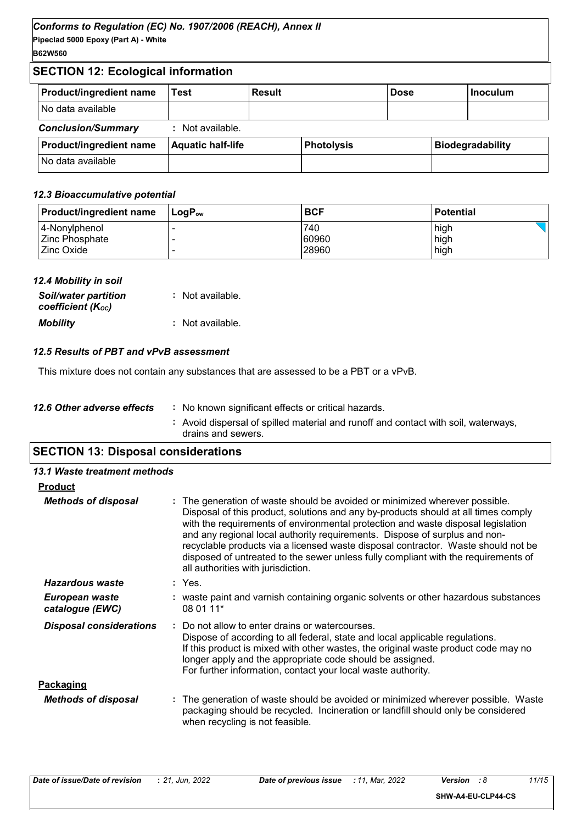#### **B62W560**

#### **SECTION 12: Ecological information**

| <b>Product/ingredient name</b> | Test                     | Result |                   | <b>Dose</b> | l Inoculum              |
|--------------------------------|--------------------------|--------|-------------------|-------------|-------------------------|
| No data available              |                          |        |                   |             |                         |
| <b>Conclusion/Summary</b>      | : Not available.         |        |                   |             |                         |
| <b>Product/ingredient name</b> | <b>Aquatic half-life</b> |        | <b>Photolysis</b> |             | <b>Biodegradability</b> |
| No data available              |                          |        |                   |             |                         |

#### *12.3 Bioaccumulative potential*

| <b>Product/ingredient name</b> | $\mathsf{LoaP}_\mathsf{ow}$ | <b>BCF</b> | <b>Potential</b> |
|--------------------------------|-----------------------------|------------|------------------|
| 4-Nonylphenol                  |                             | 740        | high             |
| Zinc Phosphate                 |                             | 60960      | high             |
| <b>Zinc Oxide</b>              |                             | 28960      | high             |

| 12.4 Mobility in soil                            |                  |
|--------------------------------------------------|------------------|
| <b>Soil/water partition</b><br>coefficient (Koc) | : Not available. |
| <b>Mobility</b>                                  | : Not available. |

#### *12.5 Results of PBT and vPvB assessment*

This mixture does not contain any substances that are assessed to be a PBT or a vPvB.

|                            | : Avoid dispersal of spilled material and runoff and contact with soil, waterways,<br>drains and sewers. |
|----------------------------|----------------------------------------------------------------------------------------------------------|
| 12.6 Other adverse effects | : No known significant effects or critical hazards.                                                      |

### **SECTION 13: Disposal considerations**

| 13.1 Waste treatment methods      |                                                                                                                                                                                                                                                                                                                                                                                                                                                                                                                                                      |
|-----------------------------------|------------------------------------------------------------------------------------------------------------------------------------------------------------------------------------------------------------------------------------------------------------------------------------------------------------------------------------------------------------------------------------------------------------------------------------------------------------------------------------------------------------------------------------------------------|
| <b>Product</b>                    |                                                                                                                                                                                                                                                                                                                                                                                                                                                                                                                                                      |
| <b>Methods of disposal</b>        | : The generation of waste should be avoided or minimized wherever possible.<br>Disposal of this product, solutions and any by-products should at all times comply<br>with the requirements of environmental protection and waste disposal legislation<br>and any regional local authority requirements. Dispose of surplus and non-<br>recyclable products via a licensed waste disposal contractor. Waste should not be<br>disposed of untreated to the sewer unless fully compliant with the requirements of<br>all authorities with jurisdiction. |
| Hazardous waste                   | : Yes.                                                                                                                                                                                                                                                                                                                                                                                                                                                                                                                                               |
| European waste<br>catalogue (EWC) | : waste paint and varnish containing organic solvents or other hazardous substances<br>08 01 11*                                                                                                                                                                                                                                                                                                                                                                                                                                                     |
| <b>Disposal considerations</b>    | Do not allow to enter drains or watercourses.<br>Dispose of according to all federal, state and local applicable regulations.<br>If this product is mixed with other wastes, the original waste product code may no<br>longer apply and the appropriate code should be assigned.<br>For further information, contact your local waste authority.                                                                                                                                                                                                     |
| Packaging                         |                                                                                                                                                                                                                                                                                                                                                                                                                                                                                                                                                      |
| <b>Methods of disposal</b>        | : The generation of waste should be avoided or minimized wherever possible. Waste<br>packaging should be recycled. Incineration or landfill should only be considered<br>when recycling is not feasible.                                                                                                                                                                                                                                                                                                                                             |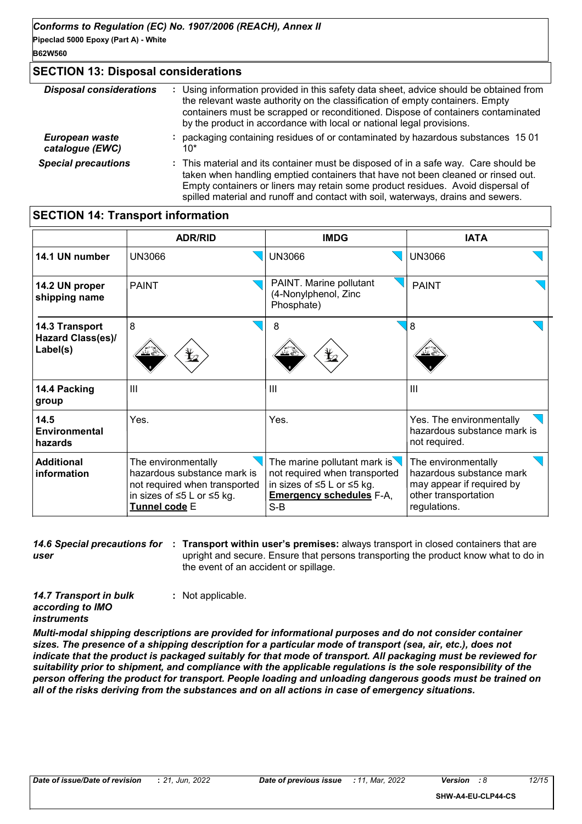#### **SECTION 13: Disposal considerations** *Special precautions* **:** This material and its container must be disposed of in a safe way. Care should be taken when handling emptied containers that have not been cleaned or rinsed out. Empty containers or liners may retain some product residues. Avoid dispersal of spilled material and runoff and contact with soil, waterways, drains and sewers. *Disposal considerations* **:** Using information provided in this safety data sheet, advice should be obtained from the relevant waste authority on the classification of empty containers. Empty containers must be scrapped or reconditioned. Dispose of containers contaminated by the product in accordance with local or national legal provisions. *European waste catalogue (EWC)* **:** packaging containing residues of or contaminated by hazardous substances 15 01 10\*

#### **SECTION 14: Transport information**

|                                                 | <b>ADR/RID</b>                                                                                                                     | <b>IMDG</b>                                                                                                                                       | <b>IATA</b>                                                                                                          |
|-------------------------------------------------|------------------------------------------------------------------------------------------------------------------------------------|---------------------------------------------------------------------------------------------------------------------------------------------------|----------------------------------------------------------------------------------------------------------------------|
| 14.1 UN number                                  | <b>UN3066</b>                                                                                                                      | <b>UN3066</b>                                                                                                                                     | <b>UN3066</b>                                                                                                        |
| 14.2 UN proper<br>shipping name                 | <b>PAINT</b>                                                                                                                       | PAINT. Marine pollutant<br>(4-Nonylphenol, Zinc<br>Phosphate)                                                                                     | <b>PAINT</b>                                                                                                         |
| 14.3 Transport<br>Hazard Class(es)/<br>Label(s) | 8<br>¥⊿                                                                                                                            | 8<br>y                                                                                                                                            | 8                                                                                                                    |
| 14.4 Packing<br>group                           | III                                                                                                                                | Ш                                                                                                                                                 | $\mathbf{III}$                                                                                                       |
| 14.5<br><b>Environmental</b><br>hazards         | Yes.                                                                                                                               | Yes.                                                                                                                                              | Yes. The environmentally<br>hazardous substance mark is<br>not required.                                             |
| <b>Additional</b><br>information                | The environmentally<br>hazardous substance mark is<br>not required when transported<br>in sizes of ≤5 L or ≤5 kg.<br>Tunnel code E | The marine pollutant mark is $\sqrt{}$<br>not required when transported<br>in sizes of ≤5 L or ≤5 kg.<br><b>Emergency schedules F-A,</b><br>$S-B$ | The environmentally<br>hazardous substance mark<br>may appear if required by<br>other transportation<br>regulations. |

**14.6 Special precautions for : Transport within user's premises: always transport in closed containers that are** *user* upright and secure. Ensure that persons transporting the product know what to do in the event of an accident or spillage.

*14.7 Transport in bulk according to IMO instruments*

**:** Not applicable.

*Multi-modal shipping descriptions are provided for informational purposes and do not consider container sizes. The presence of a shipping description for a particular mode of transport (sea, air, etc.), does not indicate that the product is packaged suitably for that mode of transport. All packaging must be reviewed for suitability prior to shipment, and compliance with the applicable regulations is the sole responsibility of the person offering the product for transport. People loading and unloading dangerous goods must be trained on all of the risks deriving from the substances and on all actions in case of emergency situations.*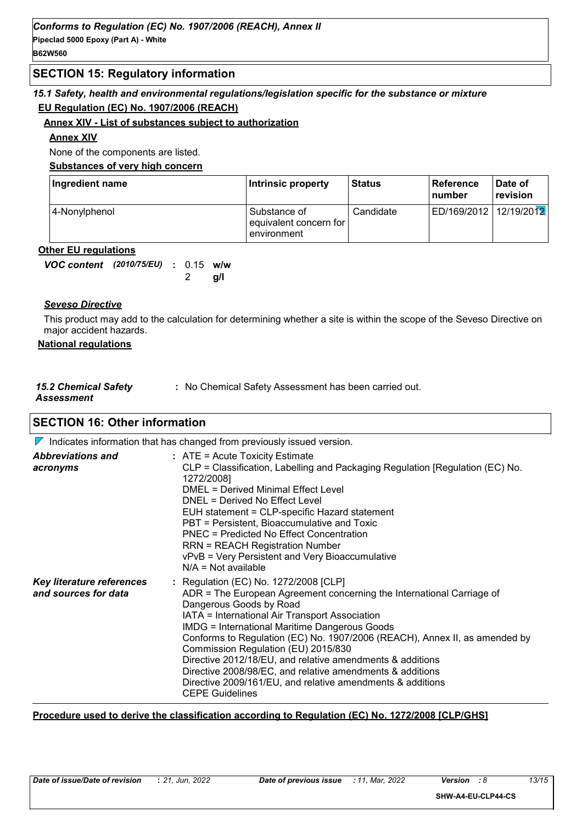#### **SECTION 15: Regulatory information**

#### *15.1 Safety, health and environmental regulations/legislation specific for the substance or mixture* **EU Regulation (EC) No. 1907/2006 (REACH)**

#### **Annex XIV - List of substances subject to authorization**

#### **Annex XIV**

None of the components are listed.

**Substances of very high concern**

| Ingredient name | Intrinsic property                                    | <b>Status</b> | <b>Reference</b><br><b>Inumber</b> | Date of<br>revision |
|-----------------|-------------------------------------------------------|---------------|------------------------------------|---------------------|
| 4-Nonylphenol   | Substance of<br>equivalent concern for<br>environment | Candidate     | ED/169/2012 12/19/2012             |                     |

#### **Other EU regulations**

| VOC content (2010/75/EU) : 0.15 w/w |  |         |  |
|-------------------------------------|--|---------|--|
|                                     |  | 2 $q/l$ |  |

#### *Seveso Directive*

This product may add to the calculation for determining whether a site is within the scope of the Seveso Directive on major accident hazards.

#### **National regulations**

| <b>15.2 Chemical Safety</b> | : No Chemical Safety Assessment has been carried out. |
|-----------------------------|-------------------------------------------------------|
| Assessment                  |                                                       |

#### **SECTION 16: Other information**

|                                                          | $\triangleright$ Indicates information that has changed from previously issued version.                                                                                                                                                                                                                                                                                                                                                                                                                                                                                                    |
|----------------------------------------------------------|--------------------------------------------------------------------------------------------------------------------------------------------------------------------------------------------------------------------------------------------------------------------------------------------------------------------------------------------------------------------------------------------------------------------------------------------------------------------------------------------------------------------------------------------------------------------------------------------|
| <b>Abbreviations and</b><br>acronyms                     | $:$ ATE = Acute Toxicity Estimate<br>CLP = Classification, Labelling and Packaging Regulation [Regulation (EC) No.<br>1272/2008]<br>DMEL = Derived Minimal Effect Level<br>DNEL = Derived No Effect Level<br>EUH statement = CLP-specific Hazard statement<br>PBT = Persistent, Bioaccumulative and Toxic<br>PNEC = Predicted No Effect Concentration<br><b>RRN = REACH Registration Number</b><br>vPvB = Very Persistent and Very Bioaccumulative<br>$N/A = Not available$                                                                                                                |
| <b>Key literature references</b><br>and sources for data | : Regulation (EC) No. 1272/2008 [CLP]<br>ADR = The European Agreement concerning the International Carriage of<br>Dangerous Goods by Road<br>IATA = International Air Transport Association<br><b>IMDG = International Maritime Dangerous Goods</b><br>Conforms to Regulation (EC) No. 1907/2006 (REACH), Annex II, as amended by<br>Commission Regulation (EU) 2015/830<br>Directive 2012/18/EU, and relative amendments & additions<br>Directive 2008/98/EC, and relative amendments & additions<br>Directive 2009/161/EU, and relative amendments & additions<br><b>CEPE Guidelines</b> |

#### **Procedure used to derive the classification according to Regulation (EC) No. 1272/2008 [CLP/GHS]**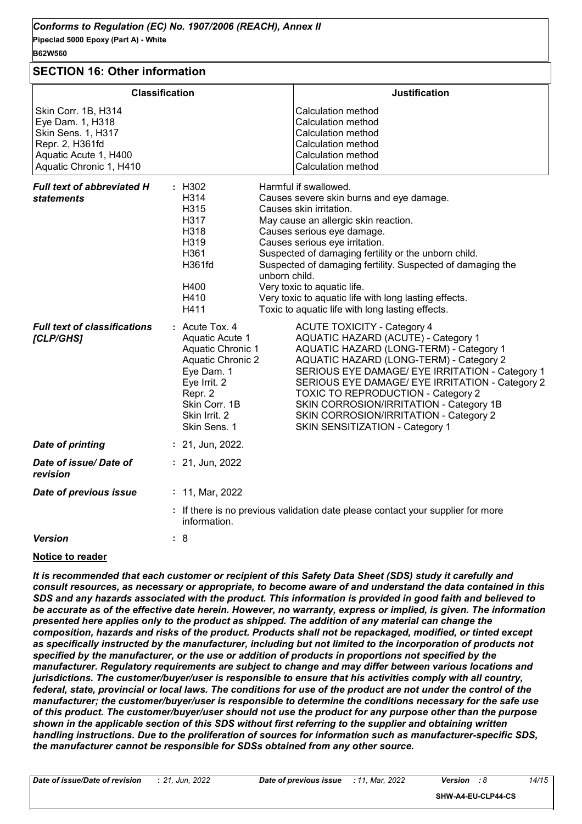| B62W560                                                                                                                              |                                                                                                                                                                                                                                                                                                                                                                                                                                                                                                                                                                                                                                      |
|--------------------------------------------------------------------------------------------------------------------------------------|--------------------------------------------------------------------------------------------------------------------------------------------------------------------------------------------------------------------------------------------------------------------------------------------------------------------------------------------------------------------------------------------------------------------------------------------------------------------------------------------------------------------------------------------------------------------------------------------------------------------------------------|
| <b>SECTION 16: Other information</b>                                                                                                 |                                                                                                                                                                                                                                                                                                                                                                                                                                                                                                                                                                                                                                      |
|                                                                                                                                      | <b>Classification</b><br><b>Justification</b>                                                                                                                                                                                                                                                                                                                                                                                                                                                                                                                                                                                        |
| Skin Corr. 1B, H314<br>Eye Dam. 1, H318<br>Skin Sens. 1, H317<br>Repr. 2, H361fd<br>Aquatic Acute 1, H400<br>Aquatic Chronic 1, H410 | <b>Calculation method</b><br>Calculation method<br>Calculation method<br>Calculation method<br>Calculation method<br>Calculation method                                                                                                                                                                                                                                                                                                                                                                                                                                                                                              |
| <b>Full text of abbreviated H</b><br><b>statements</b>                                                                               | : H302<br>Harmful if swallowed.<br>H314<br>Causes severe skin burns and eye damage.<br>H315<br>Causes skin irritation.<br>H317<br>May cause an allergic skin reaction.<br>H318<br>Causes serious eye damage.<br>H319<br>Causes serious eye irritation.<br>H361<br>Suspected of damaging fertility or the unborn child.<br>H361fd<br>Suspected of damaging fertility. Suspected of damaging the<br>unborn child.<br>Very toxic to aquatic life.<br>H400<br>H410<br>Very toxic to aquatic life with long lasting effects.<br>H411<br>Toxic to aquatic life with long lasting effects.                                                  |
| <b>Full text of classifications</b><br>[CLP/GHS]                                                                                     | $:$ Acute Tox, 4<br><b>ACUTE TOXICITY - Category 4</b><br><b>AQUATIC HAZARD (ACUTE) - Category 1</b><br>Aquatic Acute 1<br>AQUATIC HAZARD (LONG-TERM) - Category 1<br>Aquatic Chronic 1<br><b>Aquatic Chronic 2</b><br>AQUATIC HAZARD (LONG-TERM) - Category 2<br>Eye Dam. 1<br>SERIOUS EYE DAMAGE/ EYE IRRITATION - Category 1<br>Eye Irrit. 2<br>SERIOUS EYE DAMAGE/ EYE IRRITATION - Category 2<br>Repr. 2<br><b>TOXIC TO REPRODUCTION - Category 2</b><br>Skin Corr. 1B<br>SKIN CORROSION/IRRITATION - Category 1B<br>Skin Irrit. 2<br>SKIN CORROSION/IRRITATION - Category 2<br>Skin Sens. 1<br>SKIN SENSITIZATION - Category 1 |
| <b>Date of printing</b>                                                                                                              | $: 21,$ Jun, 2022.                                                                                                                                                                                                                                                                                                                                                                                                                                                                                                                                                                                                                   |
| Date of issue/Date of<br>revision                                                                                                    | : 21, Jun, 2022                                                                                                                                                                                                                                                                                                                                                                                                                                                                                                                                                                                                                      |
| Date of previous issue                                                                                                               | : 11, Mar, 2022                                                                                                                                                                                                                                                                                                                                                                                                                                                                                                                                                                                                                      |
|                                                                                                                                      | : If there is no previous validation date please contact your supplier for more<br>information.                                                                                                                                                                                                                                                                                                                                                                                                                                                                                                                                      |
| <b>Version</b>                                                                                                                       | : 8                                                                                                                                                                                                                                                                                                                                                                                                                                                                                                                                                                                                                                  |

#### **Notice to reader**

*It is recommended that each customer or recipient of this Safety Data Sheet (SDS) study it carefully and consult resources, as necessary or appropriate, to become aware of and understand the data contained in this SDS and any hazards associated with the product. This information is provided in good faith and believed to be accurate as of the effective date herein. However, no warranty, express or implied, is given. The information presented here applies only to the product as shipped. The addition of any material can change the composition, hazards and risks of the product. Products shall not be repackaged, modified, or tinted except*  as specifically instructed by the manufacturer, including but not limited to the incorporation of products not *specified by the manufacturer, or the use or addition of products in proportions not specified by the manufacturer. Regulatory requirements are subject to change and may differ between various locations and jurisdictions. The customer/buyer/user is responsible to ensure that his activities comply with all country, federal, state, provincial or local laws. The conditions for use of the product are not under the control of the manufacturer; the customer/buyer/user is responsible to determine the conditions necessary for the safe use of this product. The customer/buyer/user should not use the product for any purpose other than the purpose shown in the applicable section of this SDS without first referring to the supplier and obtaining written handling instructions. Due to the proliferation of sources for information such as manufacturer-specific SDS, the manufacturer cannot be responsible for SDSs obtained from any other source.*